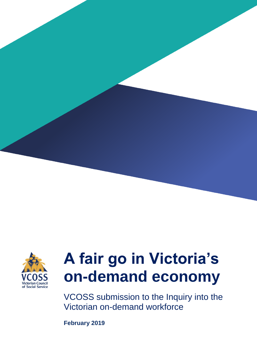



# **A fair go in Victoria's on-demand economy**

VCOSS submission to the Inquiry into the Victorian on-demand workforce

**February 2019**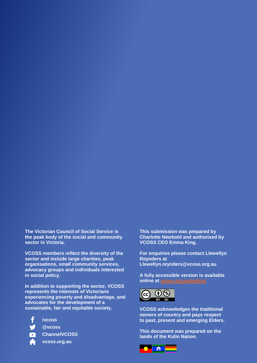**The Victorian Council of Social Service is the peak body of the social and community sector in Victoria.** 

**VCOSS members reflect the diversity of the sector and include large charities, peak organisations, small community services, advocacy groups and individuals interested in social policy.** 

**In addition to supporting the sector, VCOSS represents the interests of Victorians experiencing poverty and disadvantage, and advocates for the development of a sustainable, fair and equitable society.**

- **/vcoss**
	- **@vcoss**
	- **ChannelVCOSS**
- **A fair go in Victoria's on-demand economy vcoss.org.au**

**This submission was prepared by Charlotte Newbold and authorised by VCOSS CEO Emma King.**

**For enquiries please contact Llewellyn Reynders at Llewellyn.reynders@vcoss.org.au**

**A fully accessible version is available online at [vcoss.org.au/policy/](https://vcoss.org.au/category/policy/)**



**VCOSS acknowledges the traditional owners of country and pays respect to past, present and emerging Elders.**

**This document was prepared on the lands of the Kulin Nation.**

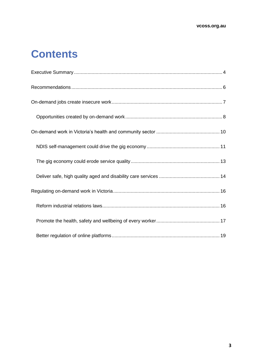## **Contents**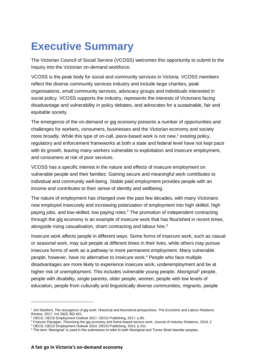## <span id="page-3-0"></span>**Executive Summary**

The Victorian Council of Social Service (VCOSS) welcomes this opportunity to submit to the Inquiry into the Victorian on-demand workforce.

VCOSS is the peak body for social and community services in Victoria. VCOSS members reflect the diverse community services industry and include large charities, peak organisations, small community services, advocacy groups and individuals interested in social policy. VCOSS supports the industry, represents the interests of Victorians facing disadvantage and vulnerability in policy debates, and advocates for a sustainable, fair and equitable society.

The emergence of the on-demand or gig economy presents a number of opportunities and challenges for workers, consumers, businesses and the Victorian economy and society more broadly. While this type of on-call, piece-based work is not new,<sup>1</sup> existing policy, regulatory and enforcement frameworks at both a state and federal level have not kept pace with its growth, leaving many workers vulnerable to exploitation and insecure employment, and consumers at risk of poor services.

VCOSS has a specific interest in the nature and effects of insecure employment on vulnerable people and their families. Gaining secure and meaningful work contributes to individual and community well-being. Stable paid employment provides people with an income and contributes to their sense of identity and wellbeing.

The nature of employment has changed over the past few decades, with many Victorians now employed insecurely and increasing polarization of employment into high skilled, high paying jobs, and low-skilled, low paying roles.<sup>2</sup> The promotion of independent contracting through the gig economy is an example of insecure work that has flourished in recent times, alongside rising casualisation, sham contracting and labour hire.<sup>3</sup>

Insecure work affects people in different ways. Some forms of insecure work, such as casual or seasonal work, may suit people at different times in their lives, while others may pursue insecure forms of work as a pathway to more permanent employment. Many vulnerable people, however, have no alternative to insecure work.<sup>4</sup> People who face multiple disadvantages are more likely to experience insecure work, underemployment and be at higher risk of unemployment. This includes vulnerable young people, Aboriginal<sup>5</sup> people, people with disability, single parents, older people, women, people with low levels of education, people from culturally and linguistically diverse communities, migrants, people

<sup>1</sup> Jim Stanford, The resurgence of gig work: Historical and theoretical perspectives, The Economic and Labour Relations Review, 2017, Vol 28(3) 382-401.

<sup>2</sup> OECD, OECD Employment Outlook 2017, OECD Publishing, 2017, p.85.

<sup>&</sup>lt;sup>3</sup> Frances Flanagan, Theorising the gig economy and home-based service work, Journal of Industry Relations, 2018, 2

<sup>4</sup> OECD, OECD Employment Outlook 2014, OECD Publishing, 2014, p.151.

<sup>5</sup> The term 'Aboriginal' is used in this submission to refer to both Aboriginal and Torres Strait Islander peoples.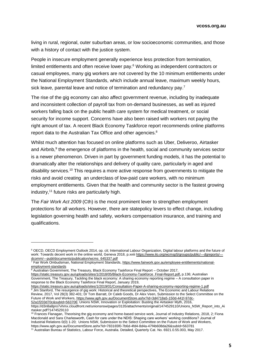living in rural, regional, outer suburban areas, or low socioeconomic communities, and those with a history of contact with the justice system.

People in insecure employment generally experience less protection from termination, limited entitlements and often receive lower pay.<sup>6</sup> Working as independent contractors or casual employees, many gig workers are not covered by the 10 minimum entitlements under the National Employment Standards, which include annual leave, maximum weekly hours, sick leave, parental leave and notice of termination and redundancy pay.<sup>7</sup>

The rise of the gig economy can also affect government revenue, including by inadequate and inconsistent collection of payroll tax from on-demand businesses, as well as injured workers falling back on the public health care system for medical treatment, or social security for income support. Concerns have also been raised with workers not paying the right amount of tax. A recent Black Economy Taskforce report recommends online platforms report data to the Australian Tax Office and other agencies. 8

Whilst much attention has focused on online platforms such as Uber, Deliveroo, Airtasker and Airbnb,<sup>9</sup> the emergence of platforms in the health, social and community services sector is a newer phenomenon. Driven in part by government funding models, it has the potential to dramatically alter the relationships and delivery of quality care, particularly in aged and disability services.<sup>10</sup> This requires a more active response from governments to mitigate the risks and avoid creating an underclass of low-paid care workers, with no minimum employment entitlements. Given that the health and community sector is the fastest growing industry, <sup>11</sup> future risks are particularly high.

The *Fair Work Act 2009* (Cth) is the most prominent lever to strengthen employment protections for all workers. However, there are statepolicy levers to effect change, including legislation governing health and safety, workers compensation insurance, and training and qualifications.

 $\overline{a}$ 

https://static.treasury.gov.au/uploads/sites/1/2019/01/Consultation-Paper-A-sharing-economy-reporting-regime-1.pdf <sup>9</sup> Jim Stanford, The resurgence of gig work: Historical and theoretical perspectives, The Economic and Labour Relations Review, 2017, Vol 28(3) 382-401; Dr Tom Barratt, Dr Caleb Goods, Dr Alex Veen, Submission to the Select Committee on the Future of Work and Workers, https://www.aph.gov.au/DocumentStore.ashx?id=3d4718a5-150d-441f-97dc-52a1f203d70c&subId=563706; Unions NSW, Innovation or Exploitation: Busting the Airtasker Myth, 2016, https://d3n8a8pro7vhmx.cloudfront.net/unionsnsw/pages/3135/attachments/original/1474529110/Unions\_NSW\_Report\_into\_Ai rtasker.pdf?1474529110

<sup>10</sup> Frances Flanagan, Theorising the gig economy and home-based service work, Journal of Industry Relations, 2018, 2; Fiona Macdonald and Sara Charlesworth, Cash for care under the NDIS: Shaping care workers' working conditions? Journal of Industrial Relations 0(0) 1-20; Unions NSW, Submission to the Select Committee on the Future of Work and Workers, https://www.aph.gov.au/DocumentStore.ashx?id=783165f0-7b6d-4fd4-8d4a-47f4b608da26&subId=563781

<sup>6</sup> OECD, OECD Employment Outlook 2014, op. cit; International Labour Organization, Digital labour platforms and the future of work: Towards decent work in the online world, Geneva 2018, p.xviii https://www.ilo.org/wcmsp5/groups/public/---dgreports/--dcomm/---publ/documents/publication/wcms\_645337.pdf

<sup>&</sup>lt;sup>7</sup> Fair Work Ombudsman, National Employment Standards, https://www.fairwork.gov.au/employee-entitlements/nationalemployment-standards

<sup>&</sup>lt;sup>8</sup> Australian Government, The Treasury, Black Economy Taskforce Final Report - October 2017,

[https://static.treasury.gov.au/uploads/sites/1/2018/05/Black-Economy-Taskforce\\_Final-Report.pdf](https://static.treasury.gov.au/uploads/sites/1/2018/05/Black-Economy-Taskforce_Final-Report.pdf)**,** p.136; Australian Government, The Treasury, Tackling the black economy: A sharing economy reporting regime – A consultation paper in response to the Black Economy Taskforce Final Report, January 2019,

<sup>11</sup> Australian Bureau of Statistics, Labour Force, Australia. Detailed, Quarterly Cat. No. 6921.0.55.003, May 2017.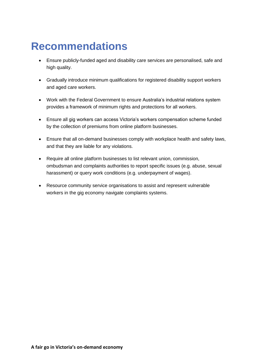## <span id="page-5-0"></span>**Recommendations**

- Ensure publicly-funded aged and disability care services are personalised, safe and high quality.
- Gradually introduce minimum qualifications for registered disability support workers and aged care workers.
- Work with the Federal Government to ensure Australia's industrial relations system provides a framework of minimum rights and protections for all workers.
- Ensure all gig workers can access Victoria's workers compensation scheme funded by the collection of premiums from online platform businesses.
- Ensure that all on-demand businesses comply with workplace health and safety laws, and that they are liable for any violations.
- Require all online platform businesses to list relevant union, commission, ombudsman and complaints authorities to report specific issues (e.g. abuse, sexual harassment) or query work conditions (e.g. underpayment of wages).
- Resource community service organisations to assist and represent vulnerable workers in the gig economy navigate complaints systems.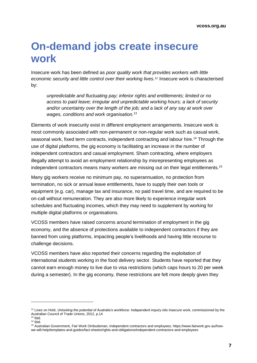## <span id="page-6-0"></span>**On-demand jobs create insecure work**

Insecure work has been defined as *poor quality work that provides workers with little economic security and little control over their working lives*. <sup>12</sup> Insecure work is characterised by:

*unpredictable and fluctuating pay; inferior rights and entitlements; limited or no access to paid leave; irregular and unpredictable working hours; a lack of security and/or uncertainty over the length of the job; and a lack of any say at work over wages, conditions and work organisation.*<sup>13</sup>

Elements of work insecurity exist in different employment arrangements. Insecure work is most commonly associated with non-permanent or non-regular work such as casual work, seasonal work, fixed term contracts, independent contracting and labour hire.<sup>14</sup> Through the use of digital platforms, the gig economy is facilitating an increase in the number of independent contractors and casual employment. Sham contracting, where employers illegally attempt to avoid an employment relationship by misrepresenting employees as independent contractors means many workers are missing out on their legal entitlements. 15

Many gig workers receive no minimum pay, no superannuation, no protection from termination, no sick or annual leave entitlements, have to supply their own tools or equipment (e.g. car), manage tax and insurance, no paid travel time, and are required to be on-call without remuneration. They are also more likely to experience irregular work schedules and fluctuating incomes, which they may need to supplement by working for multiple digital platforms or organisations.

VCOSS members have raised concerns around termination of employment in the gig economy, and the absence of protections available to independent contractors if they are banned from using platforms, impacting people's livelihoods and having little recourse to challenge decisions.

VCOSS members have also reported their concerns regarding the exploitation of international students working in the food delivery sector. Students have reported that they cannot earn enough money to live due to visa restrictions (which caps hours to 20 per week during a semester). In the gig economy, these restrictions are felt more deeply given they

<sup>12</sup> Lives on Hold, *Unlocking the potential of Australia's workforce: Independent inquiry into Insecure work*, commissioned by the Australian Council of Trade Unions, 2012, p.14

 $13$  lbid.

 $14$  Ibid.

<sup>15</sup> Australian Government, Fair Work Ombudsman, Independent contractors and employees, https://www.fairwork.gov.au/howwe-will-help/templates-and-guides/fact-sheets/rights-and-obligations/independent-contractors-and-employees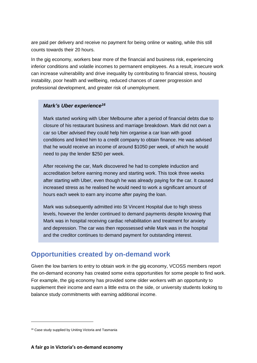are paid per delivery and receive no payment for being online or waiting, while this still counts towards their 20 hours.

In the gig economy, workers bear more of the financial and business risk, experiencing inferior conditions and volatile incomes to permanent employees. As a result, insecure work can increase vulnerability and drive inequality by contributing to financial stress, housing instability, poor health and wellbeing, reduced chances of career progression and professional development, and greater risk of unemployment.

#### *Mark's Uber experience<sup>16</sup>*

Mark started working with Uber Melbourne after a period of financial debts due to closure of his restaurant business and marriage breakdown. Mark did not own a car so Uber advised they could help him organise a car loan with good conditions and linked him to a credit company to obtain finance. He was advised that he would receive an income of around \$1050 per week, of which he would need to pay the lender \$250 per week.

After receiving the car, Mark discovered he had to complete induction and accreditation before earning money and starting work. This took three weeks after starting with Uber, even though he was already paying for the car. It caused increased stress as he realised he would need to work a significant amount of hours each week to earn any income after paying the loan.

Mark was subsequently admitted into St Vincent Hospital due to high stress levels, however the lender continued to demand payments despite knowing that Mark was in hospital receiving cardiac rehabilitation and treatment for anxiety and depression. The car was then repossessed while Mark was in the hospital and the creditor continues to demand payment for outstanding interest.

### <span id="page-7-0"></span>**Opportunities created by on-demand work**

Given the low barriers to entry to obtain work in the gig economy, VCOSS members report the on-demand economy has created some extra opportunities for some people to find work. For example, the gig economy has provided some older workers with an opportunity to supplement their income and earn a little extra on the side, or university students looking to balance study commitments with earning additional income.

<sup>&</sup>lt;sup>16</sup> Case study supplied by Uniting Victoria and Tasmania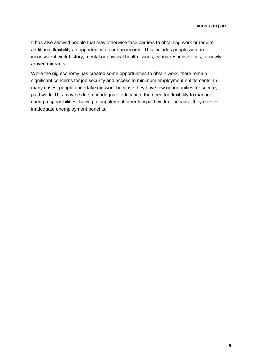It has also allowed people that may otherwise face barriers to obtaining work or require additional flexibility an opportunity to earn an income. This includes people with an inconsistent work history, mental or physical health issues, caring responsibilities, or newly arrived migrants.

While the gig economy has created some opportunities to obtain work, there remain significant concerns for job security and access to minimum employment entitlements. In many cases, people undertake gig work because they have few opportunities for secure, paid work. This may be due to inadequate education, the need for flexibility to manage caring responsibilities, having to supplement other low paid work or because they receive inadequate unemployment benefits.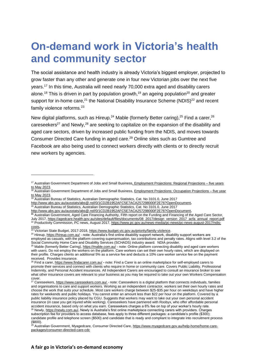## <span id="page-9-0"></span>**On-demand work in Victoria's health and community sector**

The social assistance and health industry is already Victoria's biggest employer, projected to grow faster than any other and generate one in four new Victorian jobs over the next five years.<sup>17</sup> In this time, Australia will need nearly 70,000 extra aged and disability carers alone.<sup>18</sup> This is driven in part by population growth,<sup>19</sup> an ageing population<sup>20</sup> and greater support for in-home care, $21$  the National Disability Insurance Scheme (NDIS) $22$  and recent family violence reforms.<sup>23</sup>

New digital platforms, such as Hireup,<sup>24</sup> Mable (formerly Better caring),<sup>25</sup> Find a carer,<sup>26</sup> careseekers<sup>27</sup> and Newly,<sup>28</sup> are seeking to capitalize on the expansion of the disability and aged care sectors, driven by increased public funding from the NDIS, and moves towards Consumer Directed Care funding in aged care. <sup>29</sup> Online sites such as Gumtree and Facebook are also being used to connect workers directly with clients or to directly recruit new workers by agencies.

<sup>&</sup>lt;sup>17</sup> Australian Government Department of Jobs and Small Business, *Employment Projections: Regional Projections – five years* [to May 2023.](http://lmip.gov.au/PortalFile.axd?FieldID=2787738&.xlsx)

<sup>&</sup>lt;sup>18</sup> Australian Government Department of Jobs and Small Business[, Employment Projections: Occupation Projections –](http://lmip.gov.au/default.aspx?LMIP/GainInsights/EmploymentProjections) five year [to May 2023.](http://lmip.gov.au/default.aspx?LMIP/GainInsights/EmploymentProjections)

<sup>19</sup> Australian Bureau of Statistics, Australian Demographic Statistics, Cat. No 3101.0, June 2017

<http://www.abs.gov.au/ausstats/abs@.nsf/0/1CD2B1952AFC5E7ACA257298000F2E76?OpenDocument>**.** 

 $^{20}$  Australian Bureau of Statistics, Australian Demographic Statistics, Cat. No 3101.0, June 2017

<http://www.abs.gov.au/ausstats/abs@.nsf/0/1CD2B1952AFC5E7ACA257298000F2E76?OpenDocument>**.** 

**<sup>21</sup>** Australian Government, Aged Care Financing Authority, Fifth report on the Funding and Financing of the Aged Care Sector, July 2017[, https://agedcare.health.gov.au/sites/default/files/documents/08\\_2017/design\\_version\\_2017\\_acfa\\_annual\\_report.pdf](https://agedcare.health.gov.au/sites/default/files/documents/08_2017/design_version_2017_acfa_annual_report.pdf) <sup>22</sup> Productivity Commission, PC news, August 2017, <u>https://www.pc.gov.au/news-media/pc-news/pc-news-august-2017/ndis-</u> [costs](https://www.pc.gov.au/news-media/pc-news/pc-news-august-2017/ndis-costs)**.**

<sup>&</sup>lt;sup>23</sup> Victorian State Budget, 2017-2018, <u>https://www.budget.vic.gov.au/priority/family-violence</u>.

<sup>&</sup>lt;sup>24</sup> Hireup,<https://hireup.com.au/> - note: Australia's first online disability support network, disability support workers are employed as casuals, with the platform covering superannuation, tax contributions and penalty rates. Aligns with level 3.2 of the Social Community Home Care and Disability Services (SCHADS) industry award. NDIA provider.

<sup>&</sup>lt;sup>25</sup> Mable (formerly Better Caring),<https://mable.com.au/> - note: Online platform connecting disability and aged care workers with users. Do not employ the workers on the platform. Care workers can set their own hourly rates, which are displayed on their profile. Charges clients an additional 5% as a service fee and deducts a 10% care worker service fee on the payment received. Provides insurance.

<sup>26</sup> Find a carer,<https://www.findacarer.com.au/> **-** note: Find a Carer is an online marketplace for self-employed carers to promote their services and connect with clients who require in home or community care. Covers Public Liability, Professional Indemnity, and Personal Accident insurances. All Independent Carers are encouraged to consult an insurance broker to see what other insurance covers are relevant to your business as you may be required to take out your own Workers Compensation cover.

 $^{27}$  Careseekers, https://www.careseekers.com.au/ - note: Careseekers is a digital platform that connects individuals, families and organisations to care and support workers. Working as an independent contractor, workers set their own hourly rates and choose the work that suits your schedule. Most care workers charge between \$25-\$35 per hour on weekdays and have higher rates for weekends and public holidays. You cannot enter an amount less than \$22 per hour on the platform. Covered by a public liability insurance policy placed by CGU. Suggests that workers may want to take out your own personal accident insurance (in case you get injured while working). Careseekers have partnered with Roobyx, who offer affordable personal accident insurance, based only on what you earn. Careseekers charges a 6% fee on top of your worker's hourly rate.

<sup>28</sup> Newly,<https://newly.com.au/>**.** Newly is Australia's first online marketplace connecting carers with providers. Charges subscription fee for providers to access database, fees apply to three different packages: a candidate's profile (\$300); candidate profile and telephone screen (\$500) and candidate that is ready and compliant to integrate into recruitment process (\$800).

<sup>&</sup>lt;sup>29</sup> Australian Government, Myagedcare, Consumer Directed Care[, https://www.myagedcare.gov.au/help-home/home-care](https://www.myagedcare.gov.au/help-home/home-care-packages/consumer-directed-care-cdc)[packages/consumer-directed-care-cdc](https://www.myagedcare.gov.au/help-home/home-care-packages/consumer-directed-care-cdc)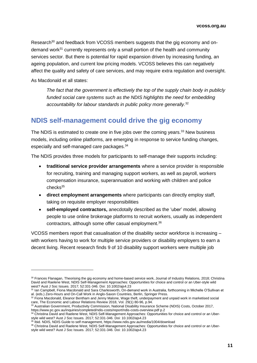Research<sup>30</sup> and feedback from VCOSS members suggests that the gig economy and ondemand work<sup>31</sup> currently represents only a small portion of the health and community services sector. But there is potential for rapid expansion driven by increasing funding, an ageing population, and current low pricing models. VCOSS believes this can negatively affect the quality and safety of care services, and may require extra regulation and oversight.

As Macdonald et all states:

*The fact that the government is effectively the top of the supply chain body in publicly funded social care systems such as the NDIS highlights the need for embedding accountability for labour standards in public policy more generally.*<sup>32</sup>

#### <span id="page-10-0"></span>**NDIS self-management could drive the gig economy**

The NDIS is estimated to create one in five jobs over the coming years.<sup>33</sup> New business models, including online platforms, are emerging in response to service funding changes, especially and self-managed care packages. 34

The NDIS provides three models for participants to self-manage their supports including:

- **traditional service provider arrangements** where a service provider is responsible for recruiting, training and managing support workers, as well as payroll, workers compensation insurance, superannuation and working with children and police checks<sup>35</sup>
- **direct employment arrangements** where participants can directly employ staff, taking on requisite employer responsibilities
- **self-employed contractors,** anecdotally described as the 'uber' model, allowing people to use online brokerage platforms to recruit workers, usually as independent contractors, although some offer casual employment. 36

VCOSS members report that casualisation of the disability sector workforce is increasing – with workers having to work for multiple service providers or disability employers to earn a decent living. Recent research finds 9 of 10 disability support workers were multiple job

<sup>30</sup> Frances Flanagan, Theorising the gig economy and home-based service work, Journal of Industry Relations, 2018; Christina David and Raelene West, NDIS Self-Management Approaches: Opportunities for choice and control or an Uber-style wild west? Aust J Soc Issues. 2017; 52:331-346. Doi: 10.1002/ajs4.23

<sup>&</sup>lt;sup>31</sup> Ian Campbell, Fiona Macdonald and Sara Charlesworth, On-demand work in Australia, forthcoming in Michelle O'Sullivan et al. (eds.) Zero-Hours and On-Call Work in Anglo-Saxon Countries, Berlin, Springer Press.

 $32$  Fiona Macdonald, Eleanor Bentham and Jenny Malone, Wage theft, underpayment and unpaid work in marketised social care, The Economic and Labour Relations Review 2018, Vol. 29(1) 80-96, p.94.

<sup>&</sup>lt;sup>33</sup> Australian Government, Productivity Commission, National Disability Insurance Scheme (NDIS) Costs, October 2017, https://www.pc.gov.au/inquiries/completed/ndis-costs/report/ndis-costs-overview.pdf p.2

<sup>34</sup> Christina David and Raelene West, NDIS Self-Management Approaches: Opportunities for choice and control or an Uberstyle wild west? Aust J Soc Issues. 2017; 52:331-346. Doi: 10.1002/ajs4.23

<sup>35</sup> Ibid. NDIS, NDIS Guide to self management, https://www.ndis.gov.au/media/1004/download

<sup>36</sup> Christina David and Raelene West, NDIS Self-Management Approaches: Opportunities for choice and control or an Uberstyle wild west? Aust J Soc Issues. 2017; 52:331-346. Doi: 10.1002/ajs4.23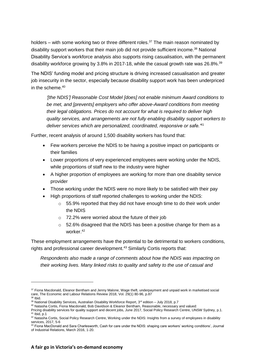holders – with some working two or three different roles.<sup>37</sup> The main reason nominated by disability support workers that their main job did not provide sufficient income.<sup>38</sup> National Disability Service's workforce analysis also supports rising casualisation, with the permanent disability workforce growing by 3.8% in 2017-18, while the casual growth rate was 26.8%.<sup>39</sup>

The NDIS' funding model and pricing structure is driving increased casualisation and greater job insecurity in the sector, especially because disability support work has been underpriced in the scheme.<sup>40</sup>

*'[the NDIS'] Reasonable Cost Model [does] not enable minimum Award conditions to be met, and [prevents] employers who offer above-Award conditions from meeting their legal obligations. Prices do not account for what is required to deliver high quality services, and arrangements are not fully enabling disability support workers to deliver services which are personalized, coordinated, responsive or safe.'*<sup>41</sup>

Further, recent analysis of around 1,500 disability workers has found that:

- Few workers perceive the NDIS to be having a positive impact on participants or their families
- Lower proportions of very experienced employees were working under the NDIS, while proportions of staff new to the industry were higher
- A higher proportion of employees are working for more than one disability service provider
- Those working under the NDIS were no more likely to be satisfied with their pay
- High proportions of staff reported challenges to working under the NDIS:
	- $\circ$  55.9% reported that they did not have enough time to do their work under the NDIS
	- o 72.2% were worried about the future of their job
	- $\circ$  52.6% disagreed that the NDIS has been a positive change for them as a worker. 42

These employment arrangements have the potential to be detrimental to workers conditions, rights and professional career development.<sup>43</sup> Similarly Cortis reports that:

*Respondents also made a range of comments about how the NDIS was impacting on their working lives. Many linked risks to quality and safety to the use of casual and* 

<sup>&</sup>lt;sup>37</sup> Fiona Macdonald, Eleanor Bentham and Jenny Malone, Wage theft, underpayment and unpaid work in marketised social care, The Economic and Labour Relations Review 2018, Vol. 29(1) 80-96, p.87

 $38$  Ibid.

<sup>&</sup>lt;sup>39</sup> National Disability Services, Australian Disability Workforce Report, 3<sup>rd</sup> edition – July 2018, p.7

<sup>40</sup> Natasha Cortis, Fiona Macdonald, Bob Davidson & Eleanor Bentham, Reasonable, necessary and valued:

Pricing disability services for quality support and decent jobs, June 2017, Social Policy Research Centre, UNSW Sydney, p.1.  $41$  Ibid, p.1

<sup>42</sup> Natasha Cortis, Social Policy Research Centre, Working under the NDIS: Insights from a survey of employees in disability services, 2017, 5-6

<sup>43</sup> Fiona MacDonald and Sara Charlesworth, Cash for care under the NDIS: shaping care workers' working conditions', Journal of Industrial Relations, March 2016, 1-20.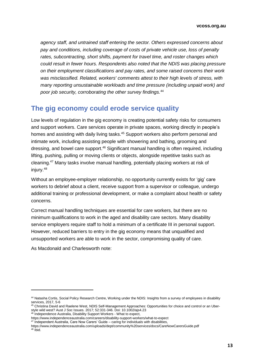*agency staff, and untrained staff entering the sector. Others expressed concerns about pay and conditions, including coverage of costs of private vehicle use, loss of penalty rates, subcontracting, short shifts, payment for travel time, and roster changes which could result in fewer hours. Respondents also noted that the NDIS was placing pressure on their employment classifications and pay rates, and some raised concerns their work was misclassified. Related, workers' comments attest to their high levels of stress, with many reporting unsustainable workloads and time pressure (including unpaid work) and poor job security, corroborating the other survey findings.* 44

#### <span id="page-12-0"></span>**The gig economy could erode service quality**

Low levels of regulation in the gig economy is creating potential safety risks for consumers and support workers. Care services operate in private spaces, working directly in people's homes and assisting with daily living tasks. <sup>45</sup> Support workers also perform personal and intimate work, including assisting people with showering and bathing, grooming and dressing, and bowel care support.<sup>46</sup> Significant manual handling is often required, including lifting, pushing, pulling or moving clients or objects, alongside repetitive tasks such as cleaning.<sup>47</sup> Many tasks involve manual handling, potentially placing workers at risk of injury.<sup>48</sup>

Without an employee-employer relationship, no opportunity currently exists for 'gig' care workers to debrief about a client, receive support from a supervisor or colleague, undergo additional training or professional development, or make a complaint about health or safety concerns.

Correct manual handling techniques are essential for care workers, but there are no minimum qualifications to work in the aged and disability care sectors. Many disability service employers require staff to hold a minimum of a certificate III in personal support. However, reduced barriers to entry in the gig economy means that unqualified and unsupported workers are able to work in the sector, compromising quality of care.

As Macdonald and Charlesworth note:

<sup>44</sup> Natasha Cortis, Social Policy Research Centre, Working under the NDIS: Insights from a survey of employees in disability services, 2017, 5-6

<sup>&</sup>lt;sup>45</sup> Christina David and Raelene West, NDIS Self-Management Approaches: Opportunities for choice and control or an Uberstyle wild west? Aust J Soc Issues. 2017; 52:331-346. Doi: 10.1002/ajs4.23

<sup>&</sup>lt;sup>46</sup> Independence Australia, Disability Support Workers - What to expect,

https://www.independenceaustralia.com/careers/disability-support-workers/what-to-expect

<sup>&</sup>lt;sup>47</sup> Independent Australia, Care Now Carers' Guide – caring for individuals with disabilities,

https://www.independenceaustralia.com/uploads/dept/community%20services/docs/CareNowCarersGuide.pdf <sup>48</sup> Ibid.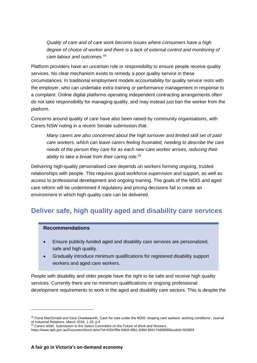*Quality of care and of care work become issues where consumers have a high*  degree of choice of worker and there is a lack of external control and monitoring of *care labour and outcomes.*<sup>49</sup>

Platform providers have an uncertain role or responsibility to ensure people receive quality services. No clear mechanism exists to remedy a poor quality service in these circumstances. In traditional employment models accountability for quality service rests with the employer, who can undertake extra training or performance management in response to a complaint. Online digital platforms operating independent contracting arrangements often do not take responsibility for managing quality, and may instead just ban the worker from the platform.

Concerns around quality of care have also been raised by community organisations, with Carers NSW noting in a recent Senate submission that:

*Many carers are also concerned about the high turnover and limited skill set of paid care workers, which can leave carers feeling frustrated, needing to describe the care needs of the person they care for as each new care worker arrives, reducing their ability to take a break from their caring role.*<sup>50</sup>

Delivering high-quality personalised care depends on workers forming ongoing, trusted relationships with people. This requires good workforce supervision and support, as well as access to professional development and ongoing training. The goals of the NDIS and aged care reform will be undermined if regulatory and pricing decisions fail to create an environment in which high quality care can be delivered.

### <span id="page-13-0"></span>**Deliver safe, high quality aged and disability care services**

#### **Recommendations**

 $\overline{a}$ 

- Ensure publicly-funded aged and disability care services are personalized, safe and high quality.
- Gradually introduce minimum qualifications for registered disability support workers and aged care workers.

People with disability and older people have the right to be safe and receive high quality services. Currently there are no minimum qualifications or ongoing professional development requirements to work in the aged and disability care sectors. This is despite the

<sup>49</sup> Fiona MacDonald and Sara Charlesworth, Cash for care under the NDIS: shaping care workers' working conditions', Journal of Industrial Relations, March 2016, 1-20, p.4

 $50$  Carers NSW, Submission to the Select Committee on the Future of Work and Workers,

https://www.aph.gov.au/DocumentStore.ashx?id=630cff9e-84b9-48b1-83b0-894174d08f96&subId=563959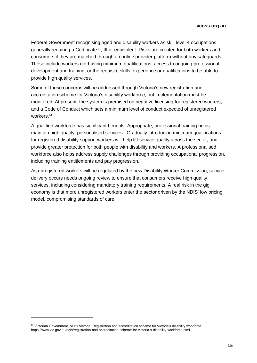Federal Government recognising aged and disability workers as skill level 4 occupations, generally requiring a Certificate II, III or equivalent. Risks are created for both workers and consumers if they are matched through an online provider platform without any safeguards. These include workers not having minimum qualifications, access to ongoing professional development and training, or the requisite skills, experience or qualifications to be able to provide high quality services.

Some of these concerns will be addressed through Victoria's new registration and accreditation scheme for Victoria's disability workforce, but implementation must be monitored. At present, the system is premised on negative licensing for registered workers, and a Code of Conduct which sets a minimum level of conduct expected of unregistered workers.<sup>51</sup>

A qualified workforce has significant benefits. Appropriate, professional training helps maintain high quality, personalised services. Gradually introducing minimum qualifications for registered disability support workers will help lift service quality across the sector, and provide greater protection for both people with disability and workers. A professionalised workforce also helps address supply challenges through providing occupational progression, including training entitlements and pay progression.

As unregistered workers will be regulated by the new Disability Worker Commission, service delivery occurs needs ongoing review to ensure that consumers receive high quality services, including considering mandatory training requirements. A real risk in the gig economy is that more unregistered workers enter the sector driven by the NDIS' low pricing model, compromising standards of care.

<sup>51</sup> Victorian Government, NDIS Victoria, Registration and accreditation scheme for Victoria's disability workforce https://www.vic.gov.au/ndis/registration-and-accreditation-scheme-for-victoria-s-disability-workforce.html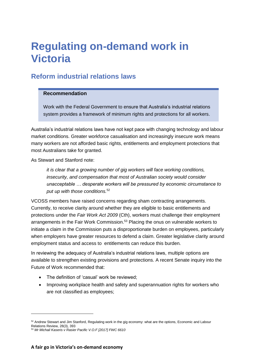## <span id="page-15-0"></span>**Regulating on-demand work in Victoria**

### <span id="page-15-1"></span>**Reform industrial relations laws**

#### **Recommendation**

Work with the Federal Government to ensure that Australia's industrial relations system provides a framework of minimum rights and protections for all workers.

Australia's industrial relations laws have not kept pace with changing technology and labour market conditions. Greater workforce casualisation and increasingly insecure work means many workers are not afforded basic rights, entitlements and employment protections that most Australians take for granted.

As Stewart and Stanford note:

*it is clear that a growing number of gig workers will face working conditions, insecurity, and compensation that most of Australian society would consider unacceptable … desperate workers will be pressured by economic circumstance to put up with those conditions.*<sup>52</sup>

VCOSS members have raised concerns regarding sham contracting arrangements. Currently, to receive clarity around whether they are eligible to basic entitlements and protections under the *Fair Work Act 2009* (Cth), workers must challenge their employment arrangements in the Fair Work Commission.<sup>53</sup> Placing the onus on vulnerable workers to initiate a claim in the Commission puts a disproportionate burden on employees, particularly when employers have greater resources to defend a claim. Greater legislative clarity around employment status and access to entitlements can reduce this burden.

In reviewing the adequacy of Australia's industrial relations laws, multiple options are available to strengthen existing provisions and protections. A recent Senate inquiry into the Future of Work recommended that:

- The definition of 'casual' work be reviewed;
- Improving workplace health and safety and superannuation rights for workers who are not classified as employees;

<sup>52</sup> Andrew Stewart and Jim Stanford, Regulating work in the gig economy: what are the options, Economic and Labour Relations Review, 28(3), 393

<sup>53</sup> *Mr Michail Kaseris v Rasier Pacific V.O.F [2017] FWC 6610*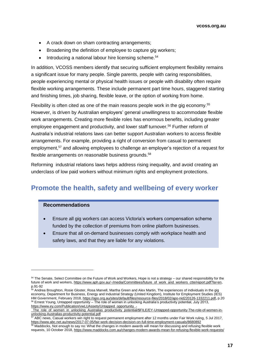- A crack down on sham contracting arrangements;
- Broadening the definition of employee to capture gig workers;
- Introducing a national labour hire licensing scheme.<sup>54</sup>

In addition, VCOSS members identify that securing sufficient employment flexibility remains a significant issue for many people. Single parents, people with caring responsibilities, people experiencing mental or physical health issues or people with disability often require flexible working arrangements. These include permanent part time hours, staggered starting and finishing times, job sharing, flexible leave, or the option of working from home.

Flexibility is often cited as one of the main reasons people work in the gig economy.<sup>55</sup> However, is driven by Australian employers' general unwillingness to accommodate flexible work arrangements. Creating more flexible roles has enormous benefits, including greater employee engagement and productivity, and lower staff turnover.<sup>56</sup> Further reform of Australia's industrial relations laws can better support Australian workers to access flexible arrangements. For example, providing a right of conversion from casual to permanent employment, <sup>57</sup> and allowing employees to challenge an employer's rejection of a request for flexible arrangements on reasonable business grounds. 58

Reforming industrial relations laws helps address rising inequality, and avoid creating an underclass of low paid workers without minimum rights and employment protections.

### <span id="page-16-0"></span>**Promote the health, safety and wellbeing of every worker**

#### **Recommendations**

- Ensure all gig workers can access Victoria's workers compensation scheme funded by the collection of premiums from online platform businesses.
- Ensure that all on-demand businesses comply with workplace health and safety laws, and that they are liable for any violations.

<sup>&</sup>lt;sup>54</sup> The Senate, Select Committee on the Future of Work and Workers, Hope is not a strategy – our shared responsibility for the future of work and workers, https://www.aph.gov.au/~/media/Committees/future\_of\_work\_and\_workers\_ctte/report.pdf?la=en, p.91-92

<sup>&</sup>lt;sup>55</sup> Andrea Broughton, Rosie Gloster, Rosa Marvell, Martha Green and Alex Martin, The experiences of individuals in the gig economy, Department for Business, Energy and Industrial Strategy (United Kingdom), Institute for Employment Studies (IES) HM Government, February 2018[, https://apo.org.au/sites/default/files/resource-files/2018/02/apo-nid220126-1332211.pdf](https://apo.org.au/sites/default/files/resource-files/2018/02/apo-nid220126-1332211.pdf)**,** p.20 <sup>56</sup> Ernest Young, Untapped opportunity – The role of women in unlocking Australia's productivity potential, July 2013, [https://www.ey.com/Publication/vwLUAssets/Untapped\\_opportunity\\_-](https://www.ey.com/Publication/vwLUAssets/Untapped_opportunity_-_The_role_of_women_in_unlocking_Australias_productivity_potential/$FILE/EY-Untapped-opportunity-The-role-of-women-in-unlocking-Australias-productivity-potential.pdf)

[\\_The\\_role\\_of\\_women\\_in\\_unlocking\\_Australias\\_productivity\\_potential/\\$FILE/EY-Untapped-opportunity-The-role-of-women-in](https://www.ey.com/Publication/vwLUAssets/Untapped_opportunity_-_The_role_of_women_in_unlocking_Australias_productivity_potential/$FILE/EY-Untapped-opportunity-The-role-of-women-in-unlocking-Australias-productivity-potential.pdf)[unlocking-Australias-productivity-potential.pdf](https://www.ey.com/Publication/vwLUAssets/Untapped_opportunity_-_The_role_of_women_in_unlocking_Australias_productivity_potential/$FILE/EY-Untapped-opportunity-The-role-of-women-in-unlocking-Australias-productivity-potential.pdf)

<sup>&</sup>lt;sup>57</sup> ABC news, Casual workers win right to request permanent employment after 12 months under Fair Work ruling, 5 Jul 2017, https://www.abc.net.au/news/2017-07-05/fair-work-decision-decision-on-full-time-employment-casuals/8680892

 $58$  Maddocks, Not enough to say no: What the changes in modern awards will mean for discussing and refusing flexible work requests, 10 October 2018, https://www.maddocks.com.au/changes-modern-awards-mean-for-refusing-flexible-work-requests/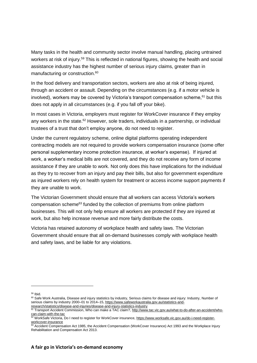Many tasks in the health and community sector involve manual handling, placing untrained workers at risk of injury.<sup>59</sup> This is reflected in national figures, showing the health and social assistance industry has the highest number of serious injury claims, greater than in manufacturing or construction. 60

In the food delivery and transportation sectors, workers are also at risk of being injured, through an accident or assault. Depending on the circumstances (e.g. if a motor vehicle is involved), workers may be covered by Victoria's transport compensation scheme,  $61$  but this does not apply in all circumstances (e.g. if you fall off your bike).

In most cases in Victoria, employers must register for WorkCover insurance if they employ any workers in the state.<sup>62</sup> However, sole traders, individuals in a partnership, or individual trustees of a trust that don't employ anyone, do not need to register.

Under the current regulatory scheme, online digital platforms operating independent contracting models are not required to provide workers compensation insurance (some offer personal supplementary income protection insurance, at worker's expense). If injured at work, a worker's medical bills are not covered, and they do not receive any form of income assistance if they are unable to work. Not only does this have implications for the individual as they try to recover from an injury and pay their bills, but also for government expenditure as injured workers rely on health system for treatment or access income support payments if they are unable to work.

The Victorian Government should ensure that all workers can access Victoria's workers compensation scheme<sup>63</sup> funded by the collection of premiums from online platform businesses. This will not only help ensure all workers are protected if they are injured at work, but also help increase revenue and more fairly distribute the costs.

Victoria has retained autonomy of workplace health and safety laws. The Victorian Government should ensure that all on-demand businesses comply with workplace health and safety laws, and be liable for any violations.

 $59$  Ibid.

<sup>&</sup>lt;sup>60</sup> Safe Work Australia, Disease and injury statistics by industry, Serious claims for disease and injury: Industry, Number of serious claims by industry 2000-01 to 2014-15[, https://www.safeworkaustralia.gov.au/statistics-and](https://www.safeworkaustralia.gov.au/statistics-and-research/statistics/disease-and-injuries/disease-and-injury-statistics-industry)[research/statistics/disease-and-injuries/disease-and-injury-statistics-industry](https://www.safeworkaustralia.gov.au/statistics-and-research/statistics/disease-and-injuries/disease-and-injury-statistics-industry)

<sup>61</sup> Transport Accident Commission, Who can make a TAC claim?[, http://www.tac.vic.gov.au/what-to-do-after-an-accident/who](http://www.tac.vic.gov.au/what-to-do-after-an-accident/who-can-claim-with-the-tac)[can-claim-with-the-tac](http://www.tac.vic.gov.au/what-to-do-after-an-accident/who-can-claim-with-the-tac)

<sup>62</sup> WorkSafe Victoria, Do I need to register for WorkCover insurance, https://www.worksafe.vic.gov.au/do-i-need-registerworkcover-insurance

<sup>63</sup> Accident Compensation Act 1985, the Accident Compensation (WorkCover Insurance) Act 1993 and the Workplace Injury Rehabilitation and Compensation Act 2013.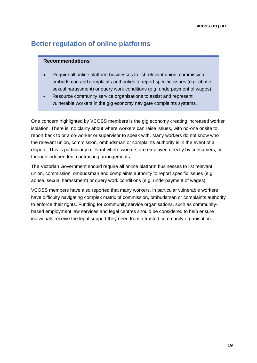### <span id="page-18-0"></span>**Better regulation of online platforms**

#### **Recommendations**

- Require all online platform businesses to list relevant union, commission, ombudsman and complaints authorities to report specific issues (e.g. abuse, sexual harassment) or query work conditions (e.g. underpayment of wages).
- Resource community service organisations to assist and represent vulnerable workers in the gig economy navigate complaints systems.

One concern highlighted by VCOSS members is the gig economy creating increased worker isolation. There is no clarity about where workers can raise issues, with no-one onsite to report back to or a co-worker or supervisor to speak with. Many workers do not know who the relevant union, commission, ombudsman or complaints authority is in the event of a dispute. This is particularly relevant where workers are employed directly by consumers, or through independent contracting arrangements.

The Victorian Government should require all online platform businesses to list relevant union, commission, ombudsman and complaints authority to report specific issues (e.g. abuse, sexual harassment) or query work conditions (e.g. underpayment of wages).

VCOSS members have also reported that many workers, in particular vulnerable workers have difficulty navigating complex matrix of commission, ombudsman or complaints authority to enforce their rights. Funding for community service organisations, such as communitybased employment law services and legal centres should be considered to help ensure individuals receive the legal support they need from a trusted community organisation.